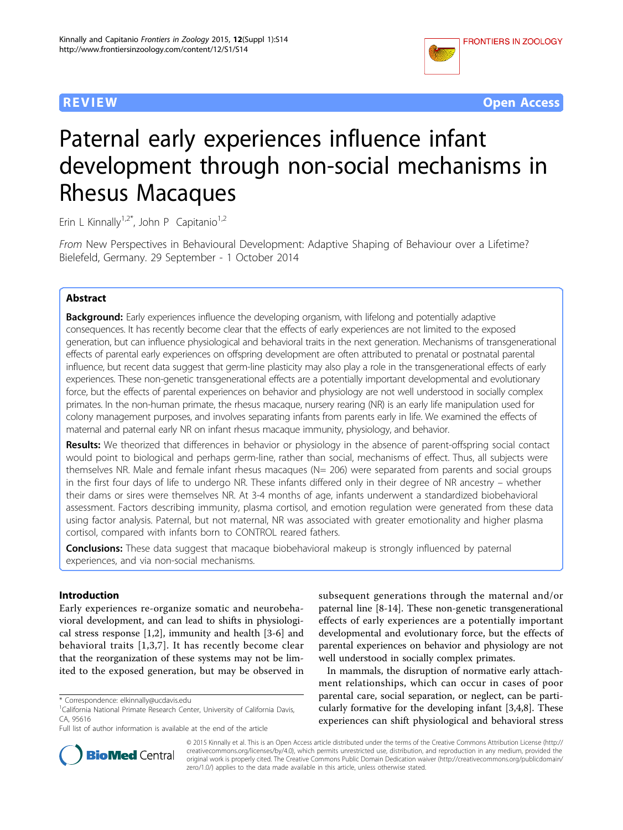



# Paternal early experiences influence infant development through non-social mechanisms in Rhesus Macaques

Erin L Kinnally<sup>1,2\*</sup>, John P Capitanio<sup>1,2</sup>

From New Perspectives in Behavioural Development: Adaptive Shaping of Behaviour over a Lifetime? Bielefeld, Germany. 29 September - 1 October 2014

#### Abstract

Background: Early experiences influence the developing organism, with lifelong and potentially adaptive consequences. It has recently become clear that the effects of early experiences are not limited to the exposed generation, but can influence physiological and behavioral traits in the next generation. Mechanisms of transgenerational effects of parental early experiences on offspring development are often attributed to prenatal or postnatal parental influence, but recent data suggest that germ-line plasticity may also play a role in the transgenerational effects of early experiences. These non-genetic transgenerational effects are a potentially important developmental and evolutionary force, but the effects of parental experiences on behavior and physiology are not well understood in socially complex primates. In the non-human primate, the rhesus macaque, nursery rearing (NR) is an early life manipulation used for colony management purposes, and involves separating infants from parents early in life. We examined the effects of maternal and paternal early NR on infant rhesus macaque immunity, physiology, and behavior.

Results: We theorized that differences in behavior or physiology in the absence of parent-offspring social contact would point to biological and perhaps germ-line, rather than social, mechanisms of effect. Thus, all subjects were themselves NR. Male and female infant rhesus macaques (N= 206) were separated from parents and social groups in the first four days of life to undergo NR. These infants differed only in their degree of NR ancestry – whether their dams or sires were themselves NR. At 3-4 months of age, infants underwent a standardized biobehavioral assessment. Factors describing immunity, plasma cortisol, and emotion regulation were generated from these data using factor analysis. Paternal, but not maternal, NR was associated with greater emotionality and higher plasma cortisol, compared with infants born to CONTROL reared fathers.

**Conclusions:** These data suggest that macaque biobehavioral makeup is strongly influenced by paternal experiences, and via non-social mechanisms.

#### Introduction

Early experiences re-organize somatic and neurobehavioral development, and can lead to shifts in physiological stress response [\[1](#page-6-0),[2\]](#page-6-0), immunity and health [\[3](#page-6-0)-[6\]](#page-6-0) and behavioral traits [[1](#page-6-0),[3](#page-6-0),[7\]](#page-6-0). It has recently become clear that the reorganization of these systems may not be limited to the exposed generation, but may be observed in subsequent generations through the maternal and/or paternal line [\[8](#page-6-0)-[14\]](#page-6-0). These non-genetic transgenerational effects of early experiences are a potentially important developmental and evolutionary force, but the effects of parental experiences on behavior and physiology are not well understood in socially complex primates.

In mammals, the disruption of normative early attachment relationships, which can occur in cases of poor parental care, social separation, or neglect, can be particularly formative for the developing infant [\[3](#page-6-0),[4](#page-6-0),[8\]](#page-6-0). These experiences can shift physiological and behavioral stress



© 2015 Kinnally et al. This is an Open Access article distributed under the terms of the Creative Commons Attribution License [\(http://](http://creativecommons.org/licenses/by/4.0) [creativecommons.org/licenses/by/4.0](http://creativecommons.org/licenses/by/4.0)), which permits unrestricted use, distribution, and reproduction in any medium, provided the original work is properly cited. The Creative Commons Public Domain Dedication waiver ([http://creativecommons.org/publicdomain/](http://creativecommons.org/publicdomain/zero/1.0/) [zero/1.0/](http://creativecommons.org/publicdomain/zero/1.0/)) applies to the data made available in this article, unless otherwise stated.

<sup>\*</sup> Correspondence: [elkinnally@ucdavis.edu](mailto:elkinnally@ucdavis.edu)

<sup>&</sup>lt;sup>1</sup>California National Primate Research Center, University of California Davis, CA, 95616

Full list of author information is available at the end of the article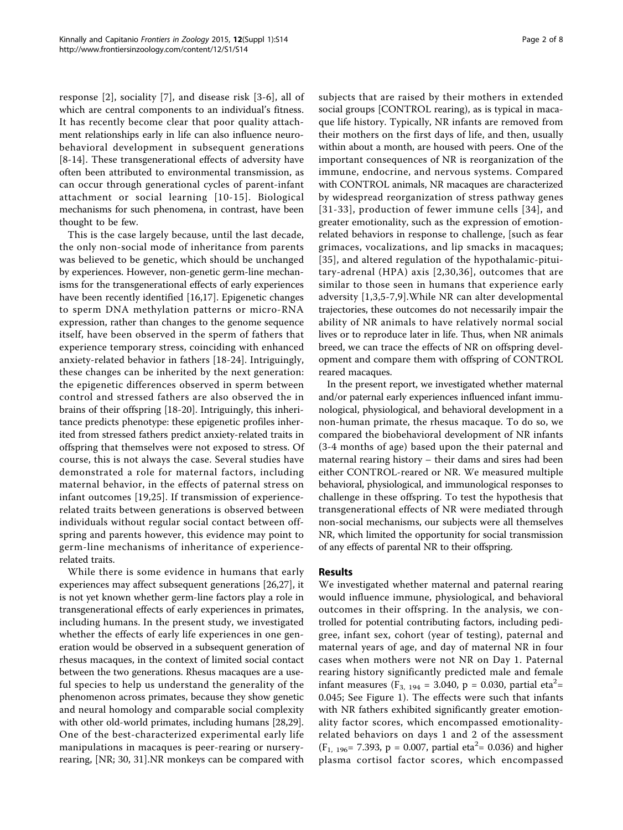response [[2\]](#page-6-0), sociality [[7\]](#page-6-0), and disease risk [[3-6\]](#page-6-0), all of which are central components to an individual's fitness. It has recently become clear that poor quality attachment relationships early in life can also influence neurobehavioral development in subsequent generations [[8-14](#page-6-0)]. These transgenerational effects of adversity have often been attributed to environmental transmission, as can occur through generational cycles of parent-infant attachment or social learning [[10](#page-6-0)-[15\]](#page-6-0). Biological mechanisms for such phenomena, in contrast, have been thought to be few.

This is the case largely because, until the last decade, the only non-social mode of inheritance from parents was believed to be genetic, which should be unchanged by experiences. However, non-genetic germ-line mechanisms for the transgenerational effects of early experiences have been recently identified [[16,17\]](#page-6-0). Epigenetic changes to sperm DNA methylation patterns or micro-RNA expression, rather than changes to the genome sequence itself, have been observed in the sperm of fathers that experience temporary stress, coinciding with enhanced anxiety-related behavior in fathers [[18-24\]](#page-6-0). Intriguingly, these changes can be inherited by the next generation: the epigenetic differences observed in sperm between control and stressed fathers are also observed the in brains of their offspring [\[18](#page-6-0)-[20\]](#page-6-0). Intriguingly, this inheritance predicts phenotype: these epigenetic profiles inherited from stressed fathers predict anxiety-related traits in offspring that themselves were not exposed to stress. Of course, this is not always the case. Several studies have demonstrated a role for maternal factors, including maternal behavior, in the effects of paternal stress on infant outcomes [[19](#page-6-0),[25\]](#page-6-0). If transmission of experiencerelated traits between generations is observed between individuals without regular social contact between offspring and parents however, this evidence may point to germ-line mechanisms of inheritance of experiencerelated traits.

While there is some evidence in humans that early experiences may affect subsequent generations [[26,27\]](#page-6-0), it is not yet known whether germ-line factors play a role in transgenerational effects of early experiences in primates, including humans. In the present study, we investigated whether the effects of early life experiences in one generation would be observed in a subsequent generation of rhesus macaques, in the context of limited social contact between the two generations. Rhesus macaques are a useful species to help us understand the generality of the phenomenon across primates, because they show genetic and neural homology and comparable social complexity with other old-world primates, including humans [[28,29](#page-6-0)]. One of the best-characterized experimental early life manipulations in macaques is peer-rearing or nurseryrearing, [NR; 30, 31].NR monkeys can be compared with subjects that are raised by their mothers in extended social groups [CONTROL rearing), as is typical in macaque life history. Typically, NR infants are removed from their mothers on the first days of life, and then, usually within about a month, are housed with peers. One of the important consequences of NR is reorganization of the immune, endocrine, and nervous systems. Compared with CONTROL animals, NR macaques are characterized by widespread reorganization of stress pathway genes [[31](#page-6-0)-[33\]](#page-7-0), production of fewer immune cells [[34](#page-7-0)], and greater emotionality, such as the expression of emotionrelated behaviors in response to challenge, [such as fear grimaces, vocalizations, and lip smacks in macaques; [[35](#page-7-0)], and altered regulation of the hypothalamic-pituitary-adrenal (HPA) axis [[2,30](#page-6-0),[36](#page-7-0)], outcomes that are similar to those seen in humans that experience early adversity [[1,3,5](#page-6-0)-[7,9](#page-6-0)].While NR can alter developmental trajectories, these outcomes do not necessarily impair the ability of NR animals to have relatively normal social lives or to reproduce later in life. Thus, when NR animals breed, we can trace the effects of NR on offspring development and compare them with offspring of CONTROL reared macaques.

In the present report, we investigated whether maternal and/or paternal early experiences influenced infant immunological, physiological, and behavioral development in a non-human primate, the rhesus macaque. To do so, we compared the biobehavioral development of NR infants (3-4 months of age) based upon the their paternal and maternal rearing history – their dams and sires had been either CONTROL-reared or NR. We measured multiple behavioral, physiological, and immunological responses to challenge in these offspring. To test the hypothesis that transgenerational effects of NR were mediated through non-social mechanisms, our subjects were all themselves NR, which limited the opportunity for social transmission of any effects of parental NR to their offspring.

#### Results

We investigated whether maternal and paternal rearing would influence immune, physiological, and behavioral outcomes in their offspring. In the analysis, we controlled for potential contributing factors, including pedigree, infant sex, cohort (year of testing), paternal and maternal years of age, and day of maternal NR in four cases when mothers were not NR on Day 1. Paternal rearing history significantly predicted male and female infant measures ( $F_{3, 194} = 3.040$ , p = 0.030, partial eta<sup>2</sup>= 0.045; See Figure [1](#page-2-0)). The effects were such that infants with NR fathers exhibited significantly greater emotionality factor scores, which encompassed emotionalityrelated behaviors on days 1 and 2 of the assessment  $(F<sub>1, 196</sub> = 7.393, p = 0.007, partial eta<sup>2</sup> = 0.036)$  and higher plasma cortisol factor scores, which encompassed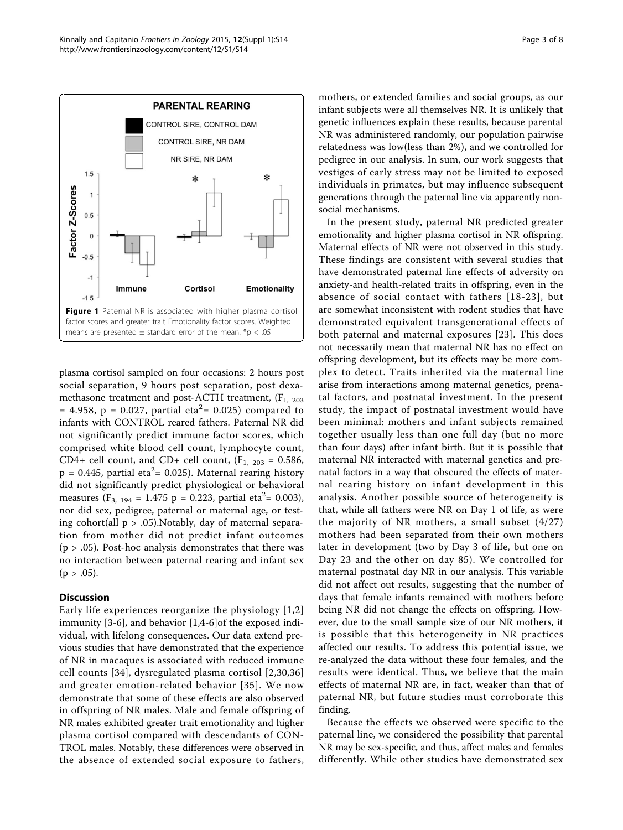<span id="page-2-0"></span>

plasma cortisol sampled on four occasions: 2 hours post social separation, 9 hours post separation, post dexamethasone treatment and post-ACTH treatment,  $(F_1, 203)$ = 4.958, p = 0.027, partial eta<sup>2</sup>= 0.025) compared to infants with CONTROL reared fathers. Paternal NR did not significantly predict immune factor scores, which comprised white blood cell count, lymphocyte count, CD4+ cell count, and CD+ cell count,  $(F_{1, 203} = 0.586,$  $p = 0.445$ , partial eta $2 = 0.025$ ). Maternal rearing history did not significantly predict physiological or behavioral measures (F<sub>3, 194</sub> = 1.475 p = 0.223, partial eta<sup>2</sup> = 0.003), nor did sex, pedigree, paternal or maternal age, or testing cohort(all  $p > .05$ ). Notably, day of maternal separation from mother did not predict infant outcomes  $(p > .05)$ . Post-hoc analysis demonstrates that there was no interaction between paternal rearing and infant sex  $(p > .05)$ .

#### **Discussion**

Early life experiences reorganize the physiology [[1,2](#page-6-0)] immunity [[3-6](#page-6-0)], and behavior [\[1,4](#page-6-0)-[6\]](#page-6-0)of the exposed individual, with lifelong consequences. Our data extend previous studies that have demonstrated that the experience of NR in macaques is associated with reduced immune cell counts [\[34\]](#page-7-0), dysregulated plasma cortisol [[2,30,](#page-6-0)[36](#page-7-0)] and greater emotion-related behavior [[35](#page-7-0)]. We now demonstrate that some of these effects are also observed in offspring of NR males. Male and female offspring of NR males exhibited greater trait emotionality and higher plasma cortisol compared with descendants of CON-TROL males. Notably, these differences were observed in the absence of extended social exposure to fathers, mothers, or extended families and social groups, as our infant subjects were all themselves NR. It is unlikely that genetic influences explain these results, because parental NR was administered randomly, our population pairwise relatedness was low(less than 2%), and we controlled for pedigree in our analysis. In sum, our work suggests that vestiges of early stress may not be limited to exposed individuals in primates, but may influence subsequent generations through the paternal line via apparently nonsocial mechanisms.

In the present study, paternal NR predicted greater emotionality and higher plasma cortisol in NR offspring. Maternal effects of NR were not observed in this study. These findings are consistent with several studies that have demonstrated paternal line effects of adversity on anxiety-and health-related traits in offspring, even in the absence of social contact with fathers [[18-23](#page-6-0)], but are somewhat inconsistent with rodent studies that have demonstrated equivalent transgenerational effects of both paternal and maternal exposures [[23](#page-6-0)]. This does not necessarily mean that maternal NR has no effect on offspring development, but its effects may be more complex to detect. Traits inherited via the maternal line arise from interactions among maternal genetics, prenatal factors, and postnatal investment. In the present study, the impact of postnatal investment would have been minimal: mothers and infant subjects remained together usually less than one full day (but no more than four days) after infant birth. But it is possible that maternal NR interacted with maternal genetics and prenatal factors in a way that obscured the effects of maternal rearing history on infant development in this analysis. Another possible source of heterogeneity is that, while all fathers were NR on Day 1 of life, as were the majority of NR mothers, a small subset (4/27) mothers had been separated from their own mothers later in development (two by Day 3 of life, but one on Day 23 and the other on day 85). We controlled for maternal postnatal day NR in our analysis. This variable did not affect out results, suggesting that the number of days that female infants remained with mothers before being NR did not change the effects on offspring. However, due to the small sample size of our NR mothers, it is possible that this heterogeneity in NR practices affected our results. To address this potential issue, we re-analyzed the data without these four females, and the results were identical. Thus, we believe that the main effects of maternal NR are, in fact, weaker than that of paternal NR, but future studies must corroborate this finding.

Because the effects we observed were specific to the paternal line, we considered the possibility that parental NR may be sex-specific, and thus, affect males and females differently. While other studies have demonstrated sex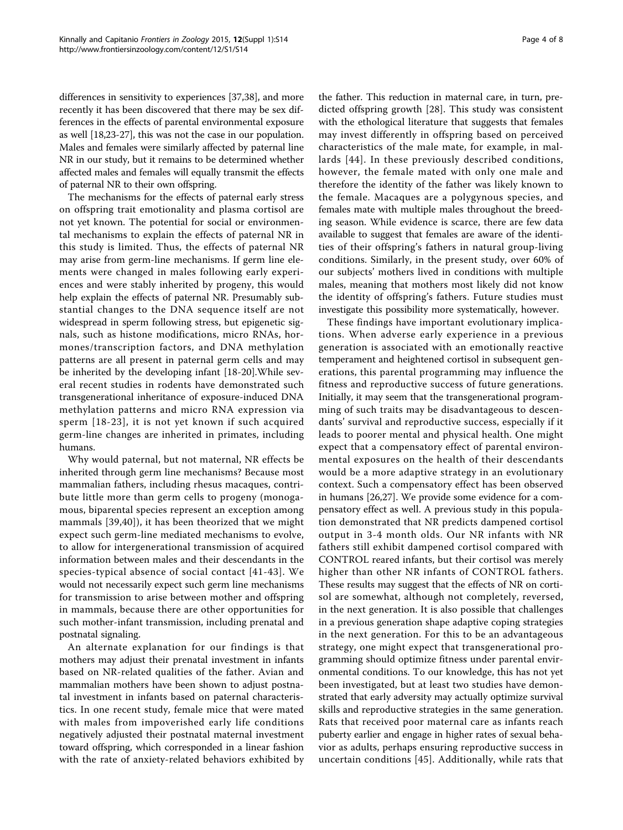differences in sensitivity to experiences [[37](#page-7-0),[38](#page-7-0)], and more recently it has been discovered that there may be sex differences in the effects of parental environmental exposure as well [\[18,23-27\]](#page-6-0), this was not the case in our population. Males and females were similarly affected by paternal line NR in our study, but it remains to be determined whether affected males and females will equally transmit the effects of paternal NR to their own offspring.

The mechanisms for the effects of paternal early stress on offspring trait emotionality and plasma cortisol are not yet known. The potential for social or environmental mechanisms to explain the effects of paternal NR in this study is limited. Thus, the effects of paternal NR may arise from germ-line mechanisms. If germ line elements were changed in males following early experiences and were stably inherited by progeny, this would help explain the effects of paternal NR. Presumably substantial changes to the DNA sequence itself are not widespread in sperm following stress, but epigenetic signals, such as histone modifications, micro RNAs, hormones/transcription factors, and DNA methylation patterns are all present in paternal germ cells and may be inherited by the developing infant [\[18](#page-6-0)-[20\]](#page-6-0).While several recent studies in rodents have demonstrated such transgenerational inheritance of exposure-induced DNA methylation patterns and micro RNA expression via sperm [[18](#page-6-0)-[23\]](#page-6-0), it is not yet known if such acquired germ-line changes are inherited in primates, including humans.

Why would paternal, but not maternal, NR effects be inherited through germ line mechanisms? Because most mammalian fathers, including rhesus macaques, contribute little more than germ cells to progeny (monogamous, biparental species represent an exception among mammals [[39](#page-7-0),[40\]](#page-7-0)), it has been theorized that we might expect such germ-line mediated mechanisms to evolve, to allow for intergenerational transmission of acquired information between males and their descendants in the species-typical absence of social contact [[41](#page-7-0)-[43\]](#page-7-0). We would not necessarily expect such germ line mechanisms for transmission to arise between mother and offspring in mammals, because there are other opportunities for such mother-infant transmission, including prenatal and postnatal signaling.

An alternate explanation for our findings is that mothers may adjust their prenatal investment in infants based on NR-related qualities of the father. Avian and mammalian mothers have been shown to adjust postnatal investment in infants based on paternal characteristics. In one recent study, female mice that were mated with males from impoverished early life conditions negatively adjusted their postnatal maternal investment toward offspring, which corresponded in a linear fashion with the rate of anxiety-related behaviors exhibited by

the father. This reduction in maternal care, in turn, predicted offspring growth [[28\]](#page-6-0). This study was consistent with the ethological literature that suggests that females may invest differently in offspring based on perceived characteristics of the male mate, for example, in mallards [[44](#page-7-0)]. In these previously described conditions, however, the female mated with only one male and therefore the identity of the father was likely known to the female. Macaques are a polygynous species, and females mate with multiple males throughout the breeding season. While evidence is scarce, there are few data available to suggest that females are aware of the identities of their offspring's fathers in natural group-living conditions. Similarly, in the present study, over 60% of our subjects' mothers lived in conditions with multiple males, meaning that mothers most likely did not know the identity of offspring's fathers. Future studies must investigate this possibility more systematically, however.

These findings have important evolutionary implications. When adverse early experience in a previous generation is associated with an emotionally reactive temperament and heightened cortisol in subsequent generations, this parental programming may influence the fitness and reproductive success of future generations. Initially, it may seem that the transgenerational programming of such traits may be disadvantageous to descendants' survival and reproductive success, especially if it leads to poorer mental and physical health. One might expect that a compensatory effect of parental environmental exposures on the health of their descendants would be a more adaptive strategy in an evolutionary context. Such a compensatory effect has been observed in humans [[26](#page-6-0),[27](#page-6-0)]. We provide some evidence for a compensatory effect as well. A previous study in this population demonstrated that NR predicts dampened cortisol output in 3-4 month olds. Our NR infants with NR fathers still exhibit dampened cortisol compared with CONTROL reared infants, but their cortisol was merely higher than other NR infants of CONTROL fathers. These results may suggest that the effects of NR on cortisol are somewhat, although not completely, reversed, in the next generation. It is also possible that challenges in a previous generation shape adaptive coping strategies in the next generation. For this to be an advantageous strategy, one might expect that transgenerational programming should optimize fitness under parental environmental conditions. To our knowledge, this has not yet been investigated, but at least two studies have demonstrated that early adversity may actually optimize survival skills and reproductive strategies in the same generation. Rats that received poor maternal care as infants reach puberty earlier and engage in higher rates of sexual behavior as adults, perhaps ensuring reproductive success in uncertain conditions [[45](#page-7-0)]. Additionally, while rats that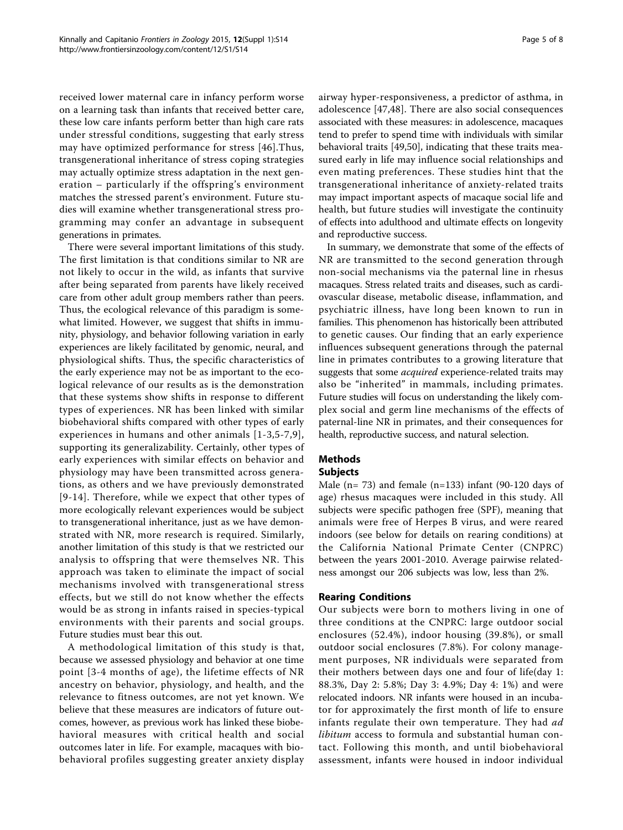received lower maternal care in infancy perform worse on a learning task than infants that received better care, these low care infants perform better than high care rats under stressful conditions, suggesting that early stress may have optimized performance for stress [[46\]](#page-7-0).Thus, transgenerational inheritance of stress coping strategies may actually optimize stress adaptation in the next generation – particularly if the offspring's environment matches the stressed parent's environment. Future studies will examine whether transgenerational stress programming may confer an advantage in subsequent generations in primates.

There were several important limitations of this study. The first limitation is that conditions similar to NR are not likely to occur in the wild, as infants that survive after being separated from parents have likely received care from other adult group members rather than peers. Thus, the ecological relevance of this paradigm is somewhat limited. However, we suggest that shifts in immunity, physiology, and behavior following variation in early experiences are likely facilitated by genomic, neural, and physiological shifts. Thus, the specific characteristics of the early experience may not be as important to the ecological relevance of our results as is the demonstration that these systems show shifts in response to different types of experiences. NR has been linked with similar biobehavioral shifts compared with other types of early experiences in humans and other animals [[1](#page-6-0)-[3](#page-6-0),[5](#page-6-0)-[7](#page-6-0),[9\]](#page-6-0), supporting its generalizability. Certainly, other types of early experiences with similar effects on behavior and physiology may have been transmitted across generations, as others and we have previously demonstrated [[9](#page-6-0)-[14\]](#page-6-0). Therefore, while we expect that other types of more ecologically relevant experiences would be subject to transgenerational inheritance, just as we have demonstrated with NR, more research is required. Similarly, another limitation of this study is that we restricted our analysis to offspring that were themselves NR. This approach was taken to eliminate the impact of social mechanisms involved with transgenerational stress effects, but we still do not know whether the effects would be as strong in infants raised in species-typical environments with their parents and social groups. Future studies must bear this out.

A methodological limitation of this study is that, because we assessed physiology and behavior at one time point [3-4 months of age), the lifetime effects of NR ancestry on behavior, physiology, and health, and the relevance to fitness outcomes, are not yet known. We believe that these measures are indicators of future outcomes, however, as previous work has linked these biobehavioral measures with critical health and social outcomes later in life. For example, macaques with biobehavioral profiles suggesting greater anxiety display airway hyper-responsiveness, a predictor of asthma, in adolescence [[47,48](#page-7-0)]. There are also social consequences associated with these measures: in adolescence, macaques tend to prefer to spend time with individuals with similar behavioral traits [[49,50\]](#page-7-0), indicating that these traits measured early in life may influence social relationships and even mating preferences. These studies hint that the transgenerational inheritance of anxiety-related traits may impact important aspects of macaque social life and health, but future studies will investigate the continuity of effects into adulthood and ultimate effects on longevity and reproductive success.

In summary, we demonstrate that some of the effects of NR are transmitted to the second generation through non-social mechanisms via the paternal line in rhesus macaques. Stress related traits and diseases, such as cardiovascular disease, metabolic disease, inflammation, and psychiatric illness, have long been known to run in families. This phenomenon has historically been attributed to genetic causes. Our finding that an early experience influences subsequent generations through the paternal line in primates contributes to a growing literature that suggests that some *acquired* experience-related traits may also be "inherited" in mammals, including primates. Future studies will focus on understanding the likely complex social and germ line mechanisms of the effects of paternal-line NR in primates, and their consequences for health, reproductive success, and natural selection.

## Methods

### Subjects

Male (n= 73) and female (n=133) infant (90-120 days of age) rhesus macaques were included in this study. All subjects were specific pathogen free (SPF), meaning that animals were free of Herpes B virus, and were reared indoors (see below for details on rearing conditions) at the California National Primate Center (CNPRC) between the years 2001-2010. Average pairwise relatedness amongst our 206 subjects was low, less than 2%.

#### Rearing Conditions

Our subjects were born to mothers living in one of three conditions at the CNPRC: large outdoor social enclosures (52.4%), indoor housing (39.8%), or small outdoor social enclosures (7.8%). For colony management purposes, NR individuals were separated from their mothers between days one and four of life(day 1: 88.3%, Day 2: 5.8%; Day 3: 4.9%; Day 4: 1%) and were relocated indoors. NR infants were housed in an incubator for approximately the first month of life to ensure infants regulate their own temperature. They had ad libitum access to formula and substantial human contact. Following this month, and until biobehavioral assessment, infants were housed in indoor individual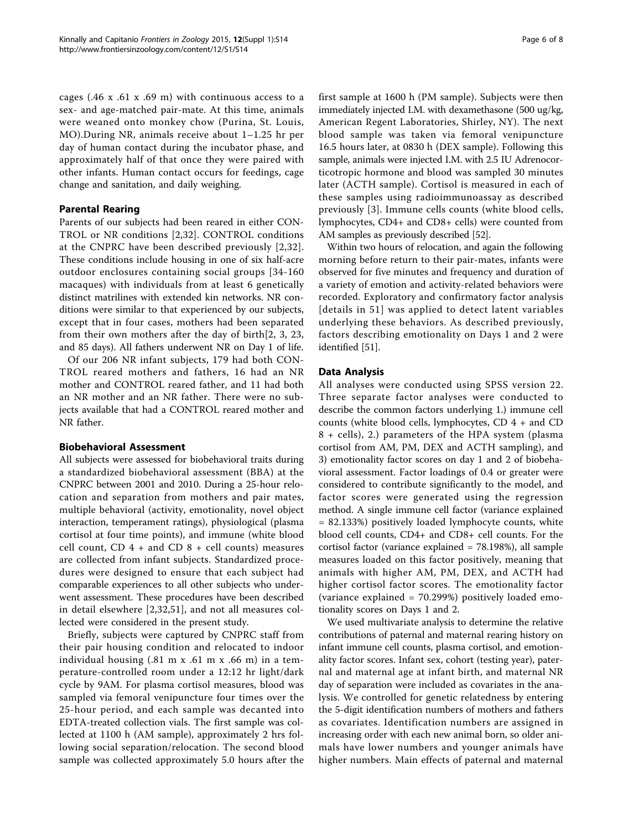cages (.46 x .61 x .69 m) with continuous access to a sex- and age-matched pair-mate. At this time, animals were weaned onto monkey chow (Purina, St. Louis, MO).During NR, animals receive about 1–1.25 hr per day of human contact during the incubator phase, and approximately half of that once they were paired with other infants. Human contact occurs for feedings, cage change and sanitation, and daily weighing.

#### Parental Rearing

Parents of our subjects had been reared in either CON-TROL or NR conditions [[2,32](#page-6-0)]. CONTROL conditions at the CNPRC have been described previously [[2](#page-6-0),[32\]](#page-6-0). These conditions include housing in one of six half-acre outdoor enclosures containing social groups [34-160 macaques) with individuals from at least 6 genetically distinct matrilines with extended kin networks. NR conditions were similar to that experienced by our subjects, except that in four cases, mothers had been separated from their own mothers after the day of birth[2, 3, 23, and 85 days). All fathers underwent NR on Day 1 of life.

Of our 206 NR infant subjects, 179 had both CON-TROL reared mothers and fathers, 16 had an NR mother and CONTROL reared father, and 11 had both an NR mother and an NR father. There were no subjects available that had a CONTROL reared mother and NR father.

#### Biobehavioral Assessment

All subjects were assessed for biobehavioral traits during a standardized biobehavioral assessment (BBA) at the CNPRC between 2001 and 2010. During a 25-hour relocation and separation from mothers and pair mates, multiple behavioral (activity, emotionality, novel object interaction, temperament ratings), physiological (plasma cortisol at four time points), and immune (white blood cell count,  $CD$  4 + and  $CD$  8 + cell counts) measures are collected from infant subjects. Standardized procedures were designed to ensure that each subject had comparable experiences to all other subjects who underwent assessment. These procedures have been described in detail elsewhere [[2,32](#page-6-0),[51\]](#page-7-0), and not all measures collected were considered in the present study.

Briefly, subjects were captured by CNPRC staff from their pair housing condition and relocated to indoor individual housing (.81 m x .61 m x .66 m) in a temperature-controlled room under a 12:12 hr light/dark cycle by 9AM. For plasma cortisol measures, blood was sampled via femoral venipuncture four times over the 25-hour period, and each sample was decanted into EDTA-treated collection vials. The first sample was collected at 1100 h (AM sample), approximately 2 hrs following social separation/relocation. The second blood sample was collected approximately 5.0 hours after the first sample at 1600 h (PM sample). Subjects were then immediately injected I.M. with dexamethasone (500 ug/kg, American Regent Laboratories, Shirley, NY). The next blood sample was taken via femoral venipuncture 16.5 hours later, at 0830 h (DEX sample). Following this sample, animals were injected I.M. with 2.5 IU Adrenocorticotropic hormone and blood was sampled 30 minutes later (ACTH sample). Cortisol is measured in each of these samples using radioimmunoassay as described previously [[3\]](#page-6-0). Immune cells counts (white blood cells, lymphocytes, CD4+ and CD8+ cells) were counted from AM samples as previously described [[52](#page-7-0)].

Within two hours of relocation, and again the following morning before return to their pair-mates, infants were observed for five minutes and frequency and duration of a variety of emotion and activity-related behaviors were recorded. Exploratory and confirmatory factor analysis [details in 51] was applied to detect latent variables underlying these behaviors. As described previously, factors describing emotionality on Days 1 and 2 were identified [[51\]](#page-7-0).

#### Data Analysis

All analyses were conducted using SPSS version 22. Three separate factor analyses were conducted to describe the common factors underlying 1.) immune cell counts (white blood cells, lymphocytes, CD 4 + and CD 8 + cells), 2.) parameters of the HPA system (plasma cortisol from AM, PM, DEX and ACTH sampling), and 3) emotionality factor scores on day 1 and 2 of biobehavioral assessment. Factor loadings of 0.4 or greater were considered to contribute significantly to the model, and factor scores were generated using the regression method. A single immune cell factor (variance explained = 82.133%) positively loaded lymphocyte counts, white blood cell counts, CD4+ and CD8+ cell counts. For the cortisol factor (variance explained = 78.198%), all sample measures loaded on this factor positively, meaning that animals with higher AM, PM, DEX, and ACTH had higher cortisol factor scores. The emotionality factor (variance explained = 70.299%) positively loaded emotionality scores on Days 1 and 2.

We used multivariate analysis to determine the relative contributions of paternal and maternal rearing history on infant immune cell counts, plasma cortisol, and emotionality factor scores. Infant sex, cohort (testing year), paternal and maternal age at infant birth, and maternal NR day of separation were included as covariates in the analysis. We controlled for genetic relatedness by entering the 5-digit identification numbers of mothers and fathers as covariates. Identification numbers are assigned in increasing order with each new animal born, so older animals have lower numbers and younger animals have higher numbers. Main effects of paternal and maternal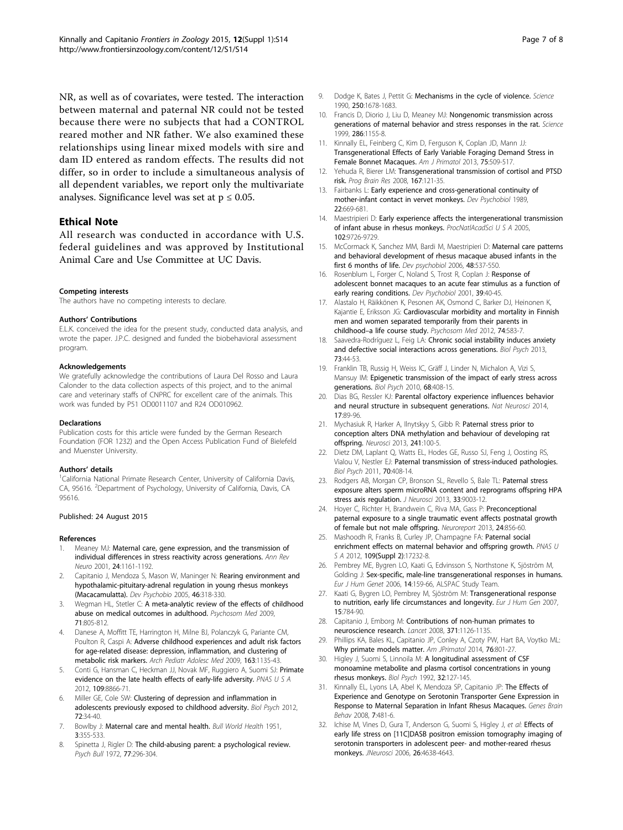<span id="page-6-0"></span>NR, as well as of covariates, were tested. The interaction between maternal and paternal NR could not be tested because there were no subjects that had a CONTROL reared mother and NR father. We also examined these relationships using linear mixed models with sire and dam ID entered as random effects. The results did not differ, so in order to include a simultaneous analysis of all dependent variables, we report only the multivariate analyses. Significance level was set at  $p \leq 0.05$ .

#### Ethical Note

All research was conducted in accordance with U.S. federal guidelines and was approved by Institutional Animal Care and Use Committee at UC Davis.

#### Competing interests

The authors have no competing interests to declare.

#### Authors' Contributions

E.L.K. conceived the idea for the present study, conducted data analysis, and wrote the paper. J.P.C. designed and funded the biobehavioral assessment program.

#### Acknowledgements

We gratefully acknowledge the contributions of Laura Del Rosso and Laura Calonder to the data collection aspects of this project, and to the animal care and veterinary staffs of CNPRC for excellent care of the animals. This work was funded by P51 OD0011107 and R24 OD010962.

#### Declarations

Publication costs for this article were funded by the German Research Foundation (FOR 1232) and the Open Access Publication Fund of Bielefeld and Muenster University.

#### Authors' details <sup>1</sup>

<sup>1</sup>California National Primate Research Center, University of California Davis, CA, 95616. <sup>2</sup>Department of Psychology, University of California, Davis, CA 95616.

#### Published: 24 August 2015

#### References

- Meaney MJ: Maternal care, gene expression, and the transmission of individual differences in stress reactivity across generations. Ann Rev Neuro 2001, 24:1161-1192.
- 2. Capitanio J, Mendoza S, Mason W, Maninger N: Rearing environment and hypothalamic-pituitary-adrenal regulation in young rhesus monkeys (Macacamulatta). Dev Psychobio 2005, 46:318-330.
- Wegman HL, Stetler C: [A meta-analytic review of the effects of childhood](http://www.ncbi.nlm.nih.gov/pubmed/19779142?dopt=Abstract) [abuse on medical outcomes in adulthood.](http://www.ncbi.nlm.nih.gov/pubmed/19779142?dopt=Abstract) Psychosom Med 2009, 71:805-812.
- 4. Danese A, Moffitt TE, Harrington H, Milne BJ, Polanczyk G, Pariante CM, Poulton R, Caspi A: [Adverse childhood experiences and adult risk factors](http://www.ncbi.nlm.nih.gov/pubmed/19996051?dopt=Abstract) [for age-related disease: depression, inflammation, and clustering of](http://www.ncbi.nlm.nih.gov/pubmed/19996051?dopt=Abstract) [metabolic risk markers.](http://www.ncbi.nlm.nih.gov/pubmed/19996051?dopt=Abstract) Arch Pediatr Adolesc Med 2009, 163:1135-43.
- 5. Conti G, Hansman C, Heckman JJ, Novak MF, Ruggiero A, Suomi SJ: Primate evidence on the late health effects of early-life adversity. PNAS U S A 2012, 109:8866-71.
- 6. Miller GE, Cole SW: Clustering of depression and inflammation in adolescents previously exposed to childhood adversity. Biol Psych 2012, 72:34-40.
- 7. Bowlby J: Maternal care and mental health. Bull World Health 1951, 3:355-533.
- 8. Spinetta J, Rigler D: The child-abusing parent: a psychological review. Psych Bull 1972, 77:296-304.
- 9. Dodge K, Bates J, Pettit G: [Mechanisms in the cycle of violence.](http://www.ncbi.nlm.nih.gov/pubmed/2270481?dopt=Abstract) Science 1990, 250:1678-1683.
- 10. Francis D, Diorio J, Liu D, Meaney MJ: [Nongenomic transmission across](http://www.ncbi.nlm.nih.gov/pubmed/10550053?dopt=Abstract) [generations of maternal behavior and stress responses in the rat.](http://www.ncbi.nlm.nih.gov/pubmed/10550053?dopt=Abstract) Science 1999, 286:1155-8.
- 11. Kinnally EL, Feinberg C, Kim D, Ferguson K, Coplan JD, Mann JJ: [Transgenerational Effects of Early Variable Foraging Demand Stress in](http://www.ncbi.nlm.nih.gov/pubmed/23436319?dopt=Abstract) [Female Bonnet Macaques.](http://www.ncbi.nlm.nih.gov/pubmed/23436319?dopt=Abstract) Am J Primatol 2013, 75:509-517.
- 12. Yehuda R, Bierer LM: [Transgenerational transmission of cortisol and PTSD](http://www.ncbi.nlm.nih.gov/pubmed/18037011?dopt=Abstract) [risk.](http://www.ncbi.nlm.nih.gov/pubmed/18037011?dopt=Abstract) Prog Brain Res 2008, 167:121-35.
- 13. Fairbanks L: [Early experience and cross-generational continuity of](http://www.ncbi.nlm.nih.gov/pubmed/2806728?dopt=Abstract) [mother-infant contact in vervet monkeys.](http://www.ncbi.nlm.nih.gov/pubmed/2806728?dopt=Abstract) Dev Psychobiol 1989, 22:669-681.
- 14. Maestripieri D: Early experience affects the intergenerational transmission of infant abuse in rhesus monkeys. ProcNatlAcadSci U S A 2005, 102:9726-9729.
- 15. McCormack K, Sanchez MM, Bardi M, Maestripieri D: [Maternal care patterns](http://www.ncbi.nlm.nih.gov/pubmed/17016838?dopt=Abstract) [and behavioral development of rhesus macaque abused infants in the](http://www.ncbi.nlm.nih.gov/pubmed/17016838?dopt=Abstract) [first 6 months of life.](http://www.ncbi.nlm.nih.gov/pubmed/17016838?dopt=Abstract) Dev psychobiol 2006, 48:537-550.
- 16. Rosenblum L, Forger C, Noland S, Trost R, Coplan J: [Response of](http://www.ncbi.nlm.nih.gov/pubmed/11507708?dopt=Abstract) [adolescent bonnet macaques to an acute fear stimulus as a function of](http://www.ncbi.nlm.nih.gov/pubmed/11507708?dopt=Abstract) [early rearing conditions.](http://www.ncbi.nlm.nih.gov/pubmed/11507708?dopt=Abstract) Dev Psychobiol 2001, 39:40-45.
- 17. Alastalo H, Räikkönen K, Pesonen AK, Osmond C, Barker DJ, Heinonen K, Kajantie E, Eriksson JG: [Cardiovascular morbidity and mortality in Finnish](http://www.ncbi.nlm.nih.gov/pubmed/22753626?dopt=Abstract) [men and women separated temporarily from their parents in](http://www.ncbi.nlm.nih.gov/pubmed/22753626?dopt=Abstract) childhood–[a life course study.](http://www.ncbi.nlm.nih.gov/pubmed/22753626?dopt=Abstract) Psychosom Med 2012, 74:583-7.
- 18. Saavedra-Rodríguez L, Feig LA: Chronic social instability induces anxiety and defective social interactions across generations. Biol Psych 2013, 73:44-53.
- 19. Franklin TB, Russig H, Weiss IC, Gräff J, Linder N, Michalon A, Vizi S, Mansuy IM: Epigenetic transmission of the impact of early stress across generations. Biol Psych 2010, 68:408-15.
- 20. Dias BG, Ressler KJ: [Parental olfactory experience influences behavior](http://www.ncbi.nlm.nih.gov/pubmed/24292232?dopt=Abstract) [and neural structure in subsequent generations.](http://www.ncbi.nlm.nih.gov/pubmed/24292232?dopt=Abstract) Nat Neurosci 2014, 17:89-96.
- 21. Mychasiuk R, Harker A, Ilnytskyy S, Gibb R: Paternal stress prior to conception alters DNA methylation and behaviour of developing rat offspring. Neurosci 2013, 241:100-5.
- 22. Dietz DM, Laplant Q, Watts EL, Hodes GE, Russo SJ, Feng J, Oosting RS, Vialou V, Nestler EJ: Paternal transmission of stress-induced pathologies. Biol Psych 2011, 70:408-14.
- 23. Rodgers AB, Morgan CP, Bronson SL, Revello S, Bale TL: [Paternal stress](http://www.ncbi.nlm.nih.gov/pubmed/23699511?dopt=Abstract) [exposure alters sperm microRNA content and reprograms offspring HPA](http://www.ncbi.nlm.nih.gov/pubmed/23699511?dopt=Abstract) [stress axis regulation.](http://www.ncbi.nlm.nih.gov/pubmed/23699511?dopt=Abstract) J Neurosci 2013, 33:9003-12.
- 24. Hoyer C, Richter H, Brandwein C, Riva MA, Gass P: [Preconceptional](http://www.ncbi.nlm.nih.gov/pubmed/23995294?dopt=Abstract) [paternal exposure to a single traumatic event affects postnatal growth](http://www.ncbi.nlm.nih.gov/pubmed/23995294?dopt=Abstract) [of female but not male offspring.](http://www.ncbi.nlm.nih.gov/pubmed/23995294?dopt=Abstract) Neuroreport 2013, 24:856-60.
- 25. Mashoodh R, Franks B, Curley JP, Champagne FA: Paternal social enrichment effects on maternal behavior and offspring growth. PNAS U S A 2012, 109(Suppl 2):17232-8.
- 26. Pembrey ME, Bygren LO, Kaati G, Edvinsson S, Northstone K, Sjöström M, Golding J: [Sex-specific, male-line transgenerational responses in humans.](http://www.ncbi.nlm.nih.gov/pubmed/16391557?dopt=Abstract) Eur J Hum Genet 2006, 14:159-66, ALSPAC Study Team.
- 27. Kaati G, Bygren LO, Pembrey M, Sjöström M: Transgenerational response to nutrition, early life circumstances and longevity. Eur J Hum Gen 2007, 15:784-90.
- 28. Capitanio J, Emborg M: [Contributions of non-human primates to](http://www.ncbi.nlm.nih.gov/pubmed/18374844?dopt=Abstract) [neuroscience research.](http://www.ncbi.nlm.nih.gov/pubmed/18374844?dopt=Abstract) Lancet 2008, 371:1126-1135.
- 29. Phillips KA, Bales KL, Capitanio JP, Conley A, Czoty PW, Hart BA, Voytko ML: Why primate models matter. Am JPrimatol 2014, 76:801-27.
- 30. Higley J, Suomi S, Linnoila M: A longitudinal assessment of CSF monoamine metabolite and plasma cortisol concentrations in young rhesus monkeys. Biol Psych 1992, 32:127-145.
- 31. Kinnally EL, Lyons LA, Abel K, Mendoza SP, Capitanio JP: [The Effects of](http://www.ncbi.nlm.nih.gov/pubmed/18081711?dopt=Abstract) [Experience and Genotype on Serotonin Transporter Gene Expression in](http://www.ncbi.nlm.nih.gov/pubmed/18081711?dopt=Abstract) [Response to Maternal Separation in Infant Rhesus Macaques.](http://www.ncbi.nlm.nih.gov/pubmed/18081711?dopt=Abstract) Genes Brain Behav 2008, 7:481-6.
- 32. Ichise M, Vines D, Gura T, Anderson G, Suomi S, Higley J, et al: Effects of early life stress on [11C]DASB positron emission tomography imaging of serotonin transporters in adolescent peer- and mother-reared rhesus monkeys. JNeurosci 2006, 26:4638-4643.